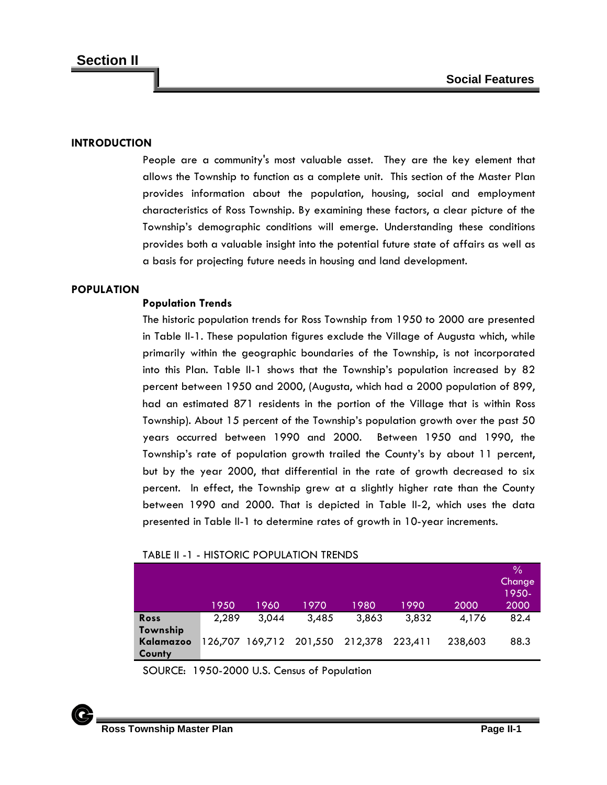## **INTRODUCTION**

People are a community's most valuable asset. They are the key element that allows the Township to function as a complete unit. This section of the Master Plan provides information about the population, housing, social and employment characteristics of Ross Township. By examining these factors, a clear picture of the Township's demographic conditions will emerge. Understanding these conditions provides both a valuable insight into the potential future state of affairs as well as a basis for projecting future needs in housing and land development.

### **POPULATION**

## **Population Trends**

The historic population trends for Ross Township from 1950 to 2000 are presented in Table II-1. These population figures exclude the Village of Augusta which, while primarily within the geographic boundaries of the Township, is not incorporated into this Plan. Table II-1 shows that the Township's population increased by 82 percent between 1950 and 2000, (Augusta, which had a 2000 population of 899, had an estimated 871 residents in the portion of the Village that is within Ross Township). About 15 percent of the Township's population growth over the past 50 years occurred between 1990 and 2000. Between 1950 and 1990, the Township's rate of population growth trailed the County's by about 11 percent, but by the year 2000, that differential in the rate of growth decreased to six percent. In effect, the Township grew at a slightly higher rate than the County between 1990 and 2000. That is depicted in Table II-2, which uses the data presented in Table II-1 to determine rates of growth in 10-year increments.

## TABLE II -1 - HISTORIC POPULATION TRENDS

|           |       |                         |       |         |         |         | $\%$   |
|-----------|-------|-------------------------|-------|---------|---------|---------|--------|
|           |       |                         |       |         |         |         | Change |
|           |       |                         |       |         |         |         | 1950-  |
|           | 1950  | 1960                    | 1970  | 1980    | 1990    | 2000    | 2000   |
| Ross      | 2,289 | 3.044                   | 3,485 | 3,863   | 3,832   | 4,176   | 82.4   |
| Township  |       |                         |       |         |         |         |        |
| Kalamazoo |       | 126,707 169,712 201,550 |       | 212,378 | 223,411 | 238,603 | 88.3   |
| County    |       |                         |       |         |         |         |        |

SOURCE: 1950-2000 U.S. Census of Population

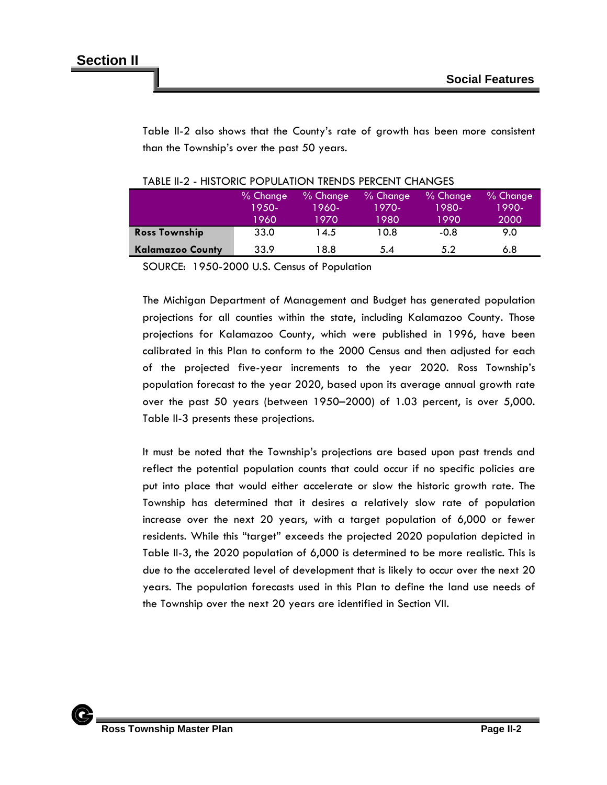Table II-2 also shows that the County's rate of growth has been more consistent than the Township's over the past 50 years.

|                         | % Change | $%$ Change | $%$ Change | $%$ Change | $%$ Change |
|-------------------------|----------|------------|------------|------------|------------|
|                         | 1950-    | 1960-      | 1970-      | 1980-      | 1990-      |
|                         | 1960     | 1970       | 1980       | 1990       | 2000       |
| <b>Ross Township</b>    | 33.0     | 14.5       | 10.8       | $-0.8$     | 9.0        |
| <b>Kalamazoo County</b> | 33.9     | l 8.8      | 5.4        | 5.2        | 6.8        |

|  | TABLE II-2 - HISTORIC POPULATION TRENDS PERCENT CHANGES |  |  |
|--|---------------------------------------------------------|--|--|
|  |                                                         |  |  |

SOURCE: 1950-2000 U.S. Census of Population

The Michigan Department of Management and Budget has generated population projections for all counties within the state, including Kalamazoo County. Those projections for Kalamazoo County, which were published in 1996, have been calibrated in this Plan to conform to the 2000 Census and then adjusted for each of the projected five-year increments to the year 2020. Ross Township's population forecast to the year 2020, based upon its average annual growth rate over the past 50 years (between 1950–2000) of 1.03 percent, is over 5,000. Table II-3 presents these projections.

It must be noted that the Township's projections are based upon past trends and reflect the potential population counts that could occur if no specific policies are put into place that would either accelerate or slow the historic growth rate. The Township has determined that it desires a relatively slow rate of population increase over the next 20 years, with a target population of 6,000 or fewer residents. While this "target" exceeds the projected 2020 population depicted in Table II-3, the 2020 population of 6,000 is determined to be more realistic. This is due to the accelerated level of development that is likely to occur over the next 20 years. The population forecasts used in this Plan to define the land use needs of the Township over the next 20 years are identified in Section VII.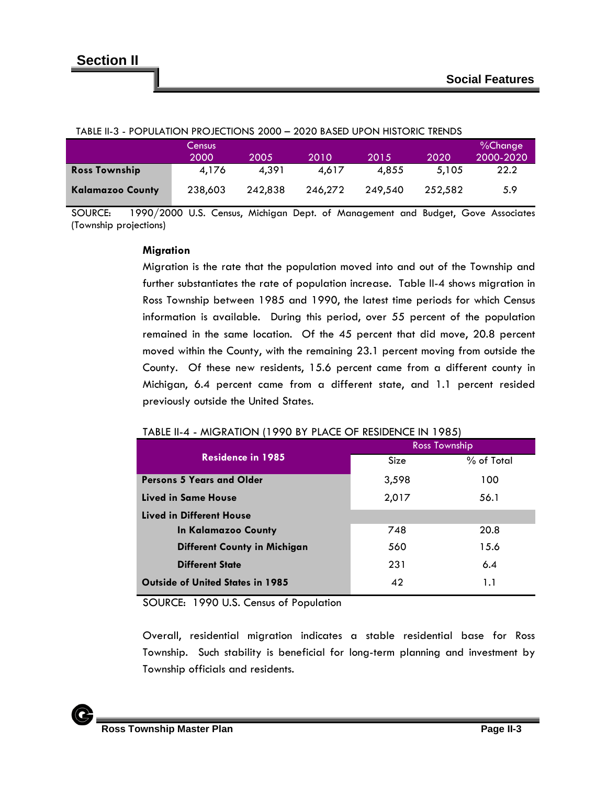| <u> IABLE 11-3 - FOFULATION FROJECTIONS ZUUU – ZUZU BASED UFON MISTORIC TRENDS</u> |         |         |         |         |         |           |
|------------------------------------------------------------------------------------|---------|---------|---------|---------|---------|-----------|
|                                                                                    | Census  |         |         |         |         | %Change   |
|                                                                                    | 2000    | 2005    | 2010    | 2015    | 2020    | 2000-2020 |
| <b>Ross Township</b>                                                               | 4.176   | 4.391   | 4.617   | 4.855   | 5.105   | 22.2      |
| <b>Kalamazoo County</b>                                                            | 238,603 | 242.838 | 246.272 | 249.540 | 252.582 | 5.9       |

#### TABLE II-3 - POPULATION PROJECTIONS 2000 – 2020 BASED UPON HISTORIC TRENDS

SOURCE: 1990/2000 U.S. Census, Michigan Dept. of Management and Budget, Gove Associates (Township projections)

#### **Migration**

Migration is the rate that the population moved into and out of the Township and further substantiates the rate of population increase. Table II-4 shows migration in Ross Township between 1985 and 1990, the latest time periods for which Census information is available. During this period, over 55 percent of the population remained in the same location. Of the 45 percent that did move, 20.8 percent moved within the County, with the remaining 23.1 percent moving from outside the County. Of these new residents, 15.6 percent came from a different county in Michigan, 6.4 percent came from a different state, and 1.1 percent resided previously outside the United States.

|                                         | Ross Township |              |  |
|-----------------------------------------|---------------|--------------|--|
| <b>Residence in 1985</b>                | Size          | $%$ of Total |  |
| <b>Persons 5 Years and Older</b>        | 3,598         | 100          |  |
| Lived in Same House                     | 2,017         | 56.1         |  |
| Lived in Different House                |               |              |  |
| In Kalamazoo County                     | 748           | 20.8         |  |
| <b>Different County in Michigan</b>     | 560           | 15.6         |  |
| <b>Different State</b>                  | 231           | 6.4          |  |
| <b>Outside of United States in 1985</b> | 42            | 1.1          |  |

#### TABLE II-4 - MIGRATION (1990 BY PLACE OF RESIDENCE IN 1985)

SOURCE: 1990 U.S. Census of Population

Overall, residential migration indicates a stable residential base for Ross Township. Such stability is beneficial for long-term planning and investment by Township officials and residents.

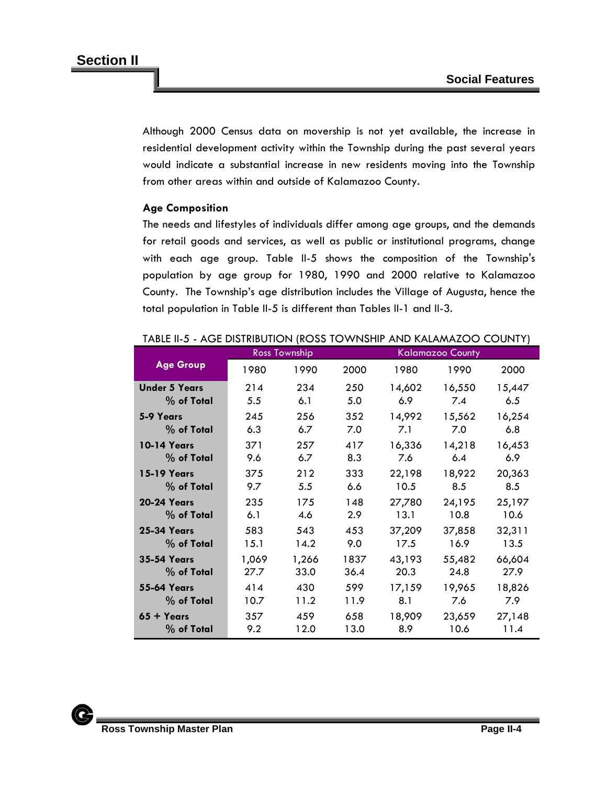Although 2000 Census data on movership is not yet available, the increase in residential development activity within the Township during the past several years would indicate a substantial increase in new residents moving into the Township from other areas within and outside of Kalamazoo County.

## **Age Composition**

The needs and lifestyles of individuals differ among age groups, and the demands for retail goods and services, as well as public or institutional programs, change with each age group. Table II-5 shows the composition of the Township's population by age group for 1980, 1990 and 2000 relative to Kalamazoo County. The Township's age distribution includes the Village of Augusta, hence the total population in Table II-5 is different than Tables II-1 and II-3.

|                      |       | Ross Township |      |        | <b>Kalamazoo County</b> |        |
|----------------------|-------|---------------|------|--------|-------------------------|--------|
| <b>Age Group</b>     | 1980  | 1990          | 2000 | 1980   | 1990                    | 2000   |
| <b>Under 5 Years</b> | 214   | 234           | 250  | 14,602 | 16,550                  | 15,447 |
| % of Total           | 5.5   | 6.1           | 5.0  | 6.9    | 7.4                     | 6.5    |
| 5-9 Years            | 245   | 256           | 352  | 14,992 | 15,562                  | 16,254 |
| % of Total           | 6.3   | 6.7           | 7.0  | 7.1    | 7.0                     | 6.8    |
| <b>10-14 Years</b>   | 371   | 257           | 417  | 16,336 | 14,218                  | 16,453 |
| % of Total           | 9.6   | 6.7           | 8.3  | 7.6    | 6.4                     | 6.9    |
| <b>15-19 Years</b>   | 375   | 212           | 333  | 22,198 | 18,922                  | 20,363 |
| % of Total           | 9.7   | 5.5           | 6.6  | 10.5   | 8.5                     | 8.5    |
| <b>20-24 Years</b>   | 235   | 175           | 148  | 27,780 | 24,195                  | 25,197 |
| % of Total           | 6.1   | 4.6           | 2.9  | 13.1   | 10.8                    | 10.6   |
| <b>25-34 Years</b>   | 583   | 543           | 453  | 37,209 | 37,858                  | 32,311 |
| % of Total           | 15.1  | 14.2          | 9.0  | 17.5   | 16.9                    | 13.5   |
| <b>35-54 Years</b>   | 1,069 | 1,266         | 1837 | 43,193 | 55,482                  | 66,604 |
| % of Total           | 27.7  | 33.0          | 36.4 | 20.3   | 24.8                    | 27.9   |
| <b>55-64 Years</b>   | 414   | 430           | 599  | 17,159 | 19,965                  | 18,826 |
| % of Total           | 10.7  | 11.2          | 11.9 | 8.1    | 7.6                     | 7.9    |
| $65 + Y$ ears        | 357   | 459           | 658  | 18,909 | 23,659                  | 27,148 |
| $%$ of Total         | 9.2   | 12.0          | 13.0 | 8.9    | 10.6                    | 11.4   |

#### TABLE II-5 - AGE DISTRIBUTION (ROSS TOWNSHIP AND KALAMAZOO COUNTY)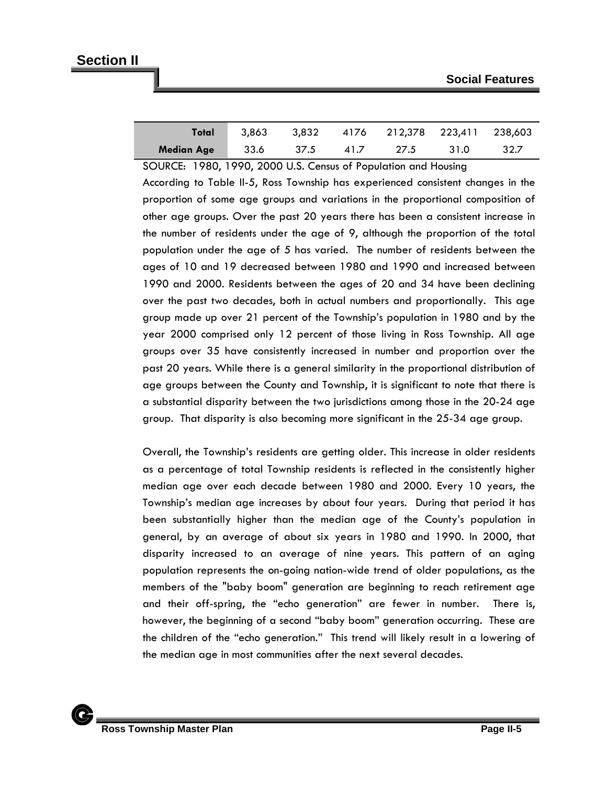| Total             | 3.863 | 3.832 |      | 4176 212,378 223,411 238,603 |      |      |
|-------------------|-------|-------|------|------------------------------|------|------|
| <b>Median Age</b> | 33.6  | 37.5  | 41.7 | 27.5                         | 31.0 | 32.7 |

SOURCE: 1980, 1990, 2000 U.S. Census of Population and Housing According to Table II-5, Ross Township has experienced consistent changes in the proportion of some age groups and variations in the proportional composition of other age groups. Over the past 20 years there has been a consistent increase in the number of residents under the age of 9, although the proportion of the total population under the age of 5 has varied. The number of residents between the ages of 10 and 19 decreased between 1980 and 1990 and increased between 1990 and 2000. Residents between the ages of 20 and 34 have been declining over the past two decades, both in actual numbers and proportionally. This age group made up over 21 percent of the Township's population in 1980 and by the year 2000 comprised only 12 percent of those living in Ross Township. All age groups over 35 have consistently increased in number and proportion over the past 20 years. While there is a general similarity in the proportional distribution of age groups between the County and Township, it is significant to note that there is a substantial disparity between the two jurisdictions among those in the 20-24 age group. That disparity is also becoming more significant in the 25-34 age group.

Overall, the Township's residents are getting older. This increase in older residents as a percentage of total Township residents is reflected in the consistently higher median age over each decade between 1980 and 2000. Every 10 years, the Township's median age increases by about four years. During that period it has been substantially higher than the median age of the County's population in general, by an average of about six years in 1980 and 1990. In 2000, that disparity increased to an average of nine years. This pattern of an aging population represents the on-going nation-wide trend of older populations, as the members of the "baby boom" generation are beginning to reach retirement age and their off-spring, the "echo generation" are fewer in number. There is, however, the beginning of a second "baby boom" generation occurring. These are the children of the "echo generation." This trend will likely result in a lowering of the median age in most communities after the next several decades.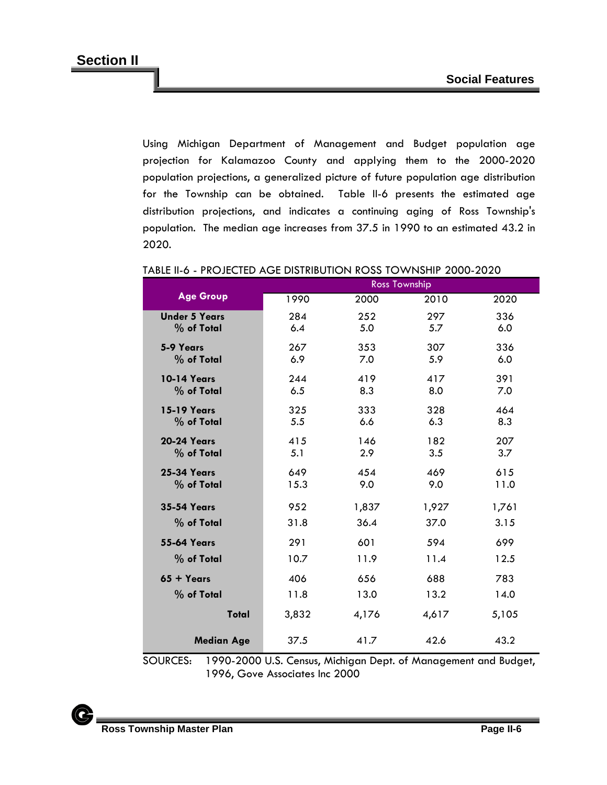Using Michigan Department of Management and Budget population age projection for Kalamazoo County and applying them to the 2000-2020 population projections, a generalized picture of future population age distribution for the Township can be obtained. Table II-6 presents the estimated age distribution projections, and indicates a continuing aging of Ross Township's population. The median age increases from 37.5 in 1990 to an estimated 43.2 in 2020.

|                      | <b>Ross Township</b> |       |       |       |  |
|----------------------|----------------------|-------|-------|-------|--|
| <b>Age Group</b>     | 1990                 | 2000  | 2010  | 2020  |  |
| <b>Under 5 Years</b> | 284                  | 252   | 297   | 336   |  |
| % of Total           | 6.4                  | 5.0   | 5.7   | 6.0   |  |
| 5-9 Years            | 267                  | 353   | 307   | 336   |  |
| % of Total           | 6.9                  | 7.0   | 5.9   | 6.0   |  |
| <b>10-14 Years</b>   | 244                  | 419   | 417   | 391   |  |
| % of Total           | 6.5                  | 8.3   | 8.0   | 7.0   |  |
| <b>15-19 Years</b>   | 325                  | 333   | 328   | 464   |  |
| % of Total           | 5.5                  | 6.6   | 6.3   | 8.3   |  |
| <b>20-24 Years</b>   | 415                  | 146   | 182   | 207   |  |
| % of Total           | 5.1                  | 2.9   | 3.5   | 3.7   |  |
| <b>25-34 Years</b>   | 649                  | 454   | 469   | 615   |  |
| % of Total           | 15.3                 | 9.0   | 9.0   | 11.0  |  |
| <b>35-54 Years</b>   | 952                  | 1,837 | 1,927 | 1,761 |  |
| % of Total           | 31.8                 | 36.4  | 37.0  | 3.15  |  |
| <b>55-64 Years</b>   | 291                  | 601   | 594   | 699   |  |
| % of Total           | 10.7                 | 11.9  | 11.4  | 12.5  |  |
| $65 + Years$         | 406                  | 656   | 688   | 783   |  |
| % of Total           | 11.8                 | 13.0  | 13.2  | 14.0  |  |
| Total                | 3,832                | 4,176 | 4,617 | 5,105 |  |
| <b>Median Age</b>    | 37.5                 | 41.7  | 42.6  | 43.2  |  |

#### TABLE II-6 - PROJECTED AGE DISTRIBUTION ROSS TOWNSHIP 2000-2020

SOURCES: 1990-2000 U.S. Census, Michigan Dept. of Management and Budget, 1996, Gove Associates Inc 2000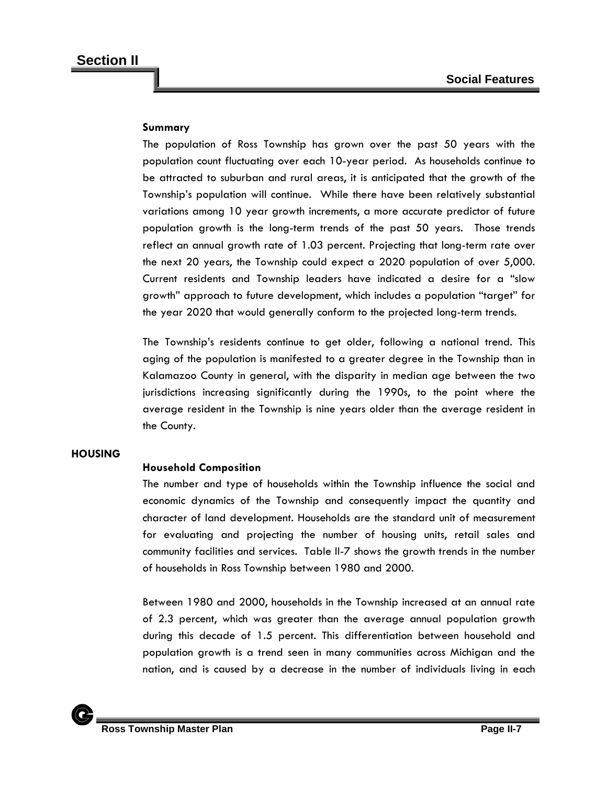## **Summary**

The population of Ross Township has grown over the past 50 years with the population count fluctuating over each 10-year period. As households continue to be attracted to suburban and rural areas, it is anticipated that the growth of the Township's population will continue. While there have been relatively substantial variations among 10 year growth increments, a more accurate predictor of future population growth is the long-term trends of the past 50 years. Those trends reflect an annual growth rate of 1.03 percent. Projecting that long-term rate over the next 20 years, the Township could expect a 2020 population of over 5,000. Current residents and Township leaders have indicated a desire for a "slow growth" approach to future development, which includes a population "target" for the year 2020 that would generally conform to the projected long-term trends.

The Township's residents continue to get older, following a national trend. This aging of the population is manifested to a greater degree in the Township than in Kalamazoo County in general, with the disparity in median age between the two jurisdictions increasing significantly during the 1990s, to the point where the average resident in the Township is nine years older than the average resident in the County.

#### **HOUSING**

## **Household Composition**

The number and type of households within the Township influence the social and economic dynamics of the Township and consequently impact the quantity and character of land development. Households are the standard unit of measurement for evaluating and projecting the number of housing units, retail sales and community facilities and services. Table II-7 shows the growth trends in the number of households in Ross Township between 1980 and 2000.

Between 1980 and 2000, households in the Township increased at an annual rate of 2.3 percent, which was greater than the average annual population growth during this decade of 1.5 percent. This differentiation between household and population growth is a trend seen in many communities across Michigan and the nation, and is caused by a decrease in the number of individuals living in each

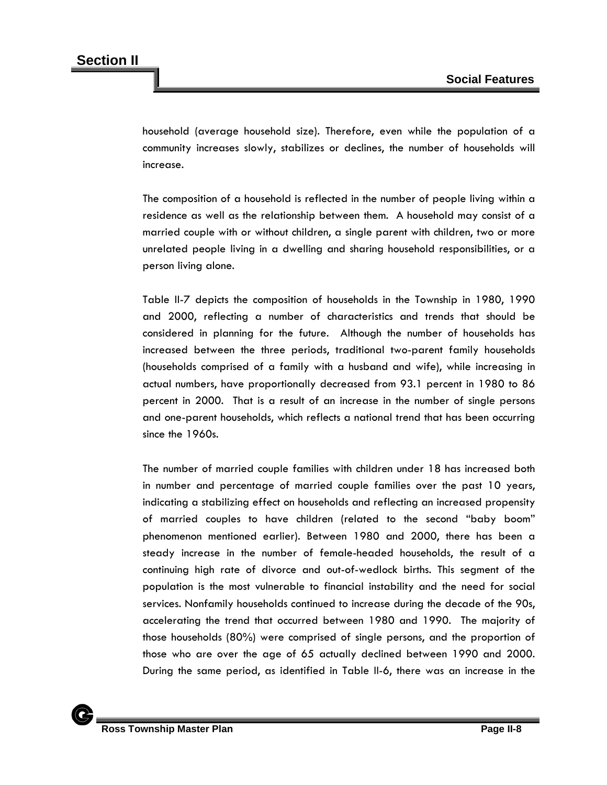household (average household size). Therefore, even while the population of a community increases slowly, stabilizes or declines, the number of households will increase.

The composition of a household is reflected in the number of people living within a residence as well as the relationship between them. A household may consist of a married couple with or without children, a single parent with children, two or more unrelated people living in a dwelling and sharing household responsibilities, or a person living alone.

Table II-7 depicts the composition of households in the Township in 1980, 1990 and 2000, reflecting a number of characteristics and trends that should be considered in planning for the future. Although the number of households has increased between the three periods, traditional two-parent family households (households comprised of a family with a husband and wife), while increasing in actual numbers, have proportionally decreased from 93.1 percent in 1980 to 86 percent in 2000. That is a result of an increase in the number of single persons and one-parent households, which reflects a national trend that has been occurring since the 1960s.

The number of married couple families with children under 18 has increased both in number and percentage of married couple families over the past 10 years, indicating a stabilizing effect on households and reflecting an increased propensity of married couples to have children (related to the second "baby boom" phenomenon mentioned earlier). Between 1980 and 2000, there has been a steady increase in the number of female-headed households, the result of a continuing high rate of divorce and out-of-wedlock births. This segment of the population is the most vulnerable to financial instability and the need for social services. Nonfamily households continued to increase during the decade of the 90s, accelerating the trend that occurred between 1980 and 1990. The majority of those households (80%) were comprised of single persons, and the proportion of those who are over the age of 65 actually declined between 1990 and 2000. During the same period, as identified in Table II-6, there was an increase in the

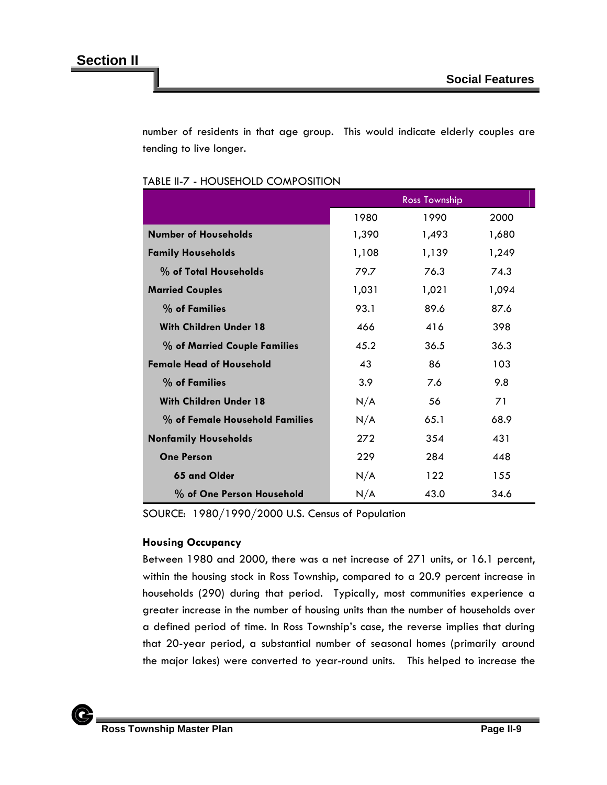number of residents in that age group. This would indicate elderly couples are tending to live longer.

|                                 |       | <b>Ross Township</b> |       |
|---------------------------------|-------|----------------------|-------|
|                                 | 1980  | 1990                 | 2000  |
| <b>Number of Households</b>     | 1,390 | 1,493                | 1,680 |
| <b>Family Households</b>        | 1,108 | 1,139                | 1,249 |
| % of Total Households           | 79.7  | 76.3                 | 74.3  |
| <b>Married Couples</b>          | 1,031 | 1,021                | 1,094 |
| % of Families                   | 93.1  | 89.6                 | 87.6  |
| <b>With Children Under 18</b>   | 466   | 416                  | 398   |
| % of Married Couple Families    | 45.2  | 36.5                 | 36.3  |
| <b>Female Head of Household</b> | 43    | 86                   | 103   |
| % of Families                   | 3.9   | 7.6                  | 9.8   |
| <b>With Children Under 18</b>   | N/A   | 56                   | 71    |
| % of Female Household Families  | N/A   | 65.1                 | 68.9  |
| <b>Nonfamily Households</b>     | 272   | 354                  | 431   |
| <b>One Person</b>               | 229   | 284                  | 448   |
| 65 and Older                    | N/A   | 122                  | 155   |
| % of One Person Household       | N/A   | 43.0                 | 34.6  |

#### TABLE II-7 - HOUSEHOLD COMPOSITION

SOURCE: 1980/1990/2000 U.S. Census of Population

## **Housing Occupancy**

Between 1980 and 2000, there was a net increase of 271 units, or 16.1 percent, within the housing stock in Ross Township, compared to a 20.9 percent increase in households (290) during that period. Typically, most communities experience a greater increase in the number of housing units than the number of households over a defined period of time. In Ross Township's case, the reverse implies that during that 20-year period, a substantial number of seasonal homes (primarily around the major lakes) were converted to year-round units. This helped to increase the

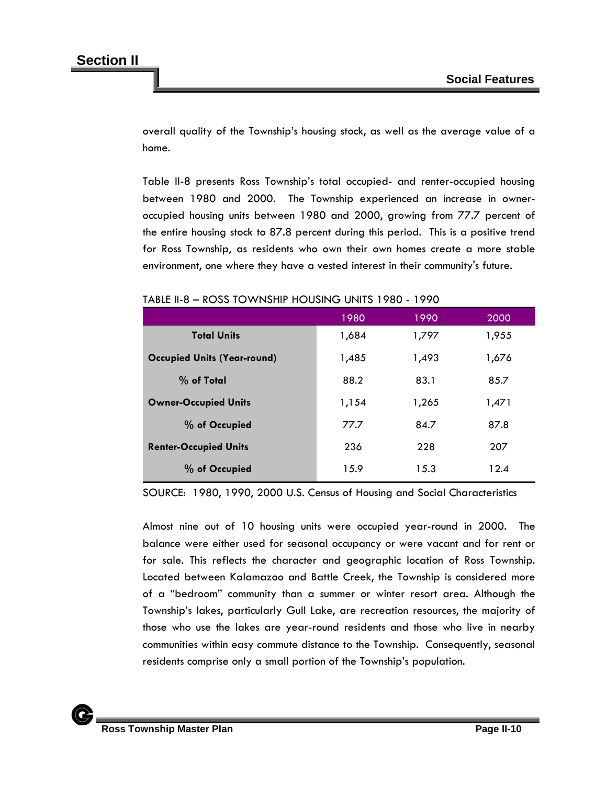overall quality of the Township's housing stock, as well as the average value of a home.

Table II-8 presents Ross Township's total occupied- and renter-occupied housing between 1980 and 2000. The Township experienced an increase in owneroccupied housing units between 1980 and 2000, growing from 77.7 percent of the entire housing stock to 87.8 percent during this period. This is a positive trend for Ross Township, as residents who own their own homes create a more stable environment, one where they have a vested interest in their community's future.

|                                    | 1980  | 1990  | 2000  |
|------------------------------------|-------|-------|-------|
| <b>Total Units</b>                 | 1,684 | 1,797 | 1,955 |
| <b>Occupied Units (Year-round)</b> | 1,485 | 1,493 | 1,676 |
| $%$ of Total                       | 88.2  | 83.1  | 85.7  |
| <b>Owner-Occupied Units</b>        | 1,154 | 1,265 | 1,471 |
| % of Occupied                      | 77.7  | 84.7  | 87.8  |
| <b>Renter-Occupied Units</b>       | 236   | 228   | 207   |
| % of Occupied                      | 15.9  | 15.3  | 12.4  |

### TABLE II-8 – ROSS TOWNSHIP HOUSING UNITS 1980 - 1990

SOURCE: 1980, 1990, 2000 U.S. Census of Housing and Social Characteristics

Almost nine out of 10 housing units were occupied year-round in 2000. The balance were either used for seasonal occupancy or were vacant and for rent or for sale. This reflects the character and geographic location of Ross Township. Located between Kalamazoo and Battle Creek, the Township is considered more of a "bedroom" community than a summer or winter resort area. Although the Township's lakes, particularly Gull Lake, are recreation resources, the majority of those who use the lakes are year-round residents and those who live in nearby communities within easy commute distance to the Township. Consequently, seasonal residents comprise only a small portion of the Township's population.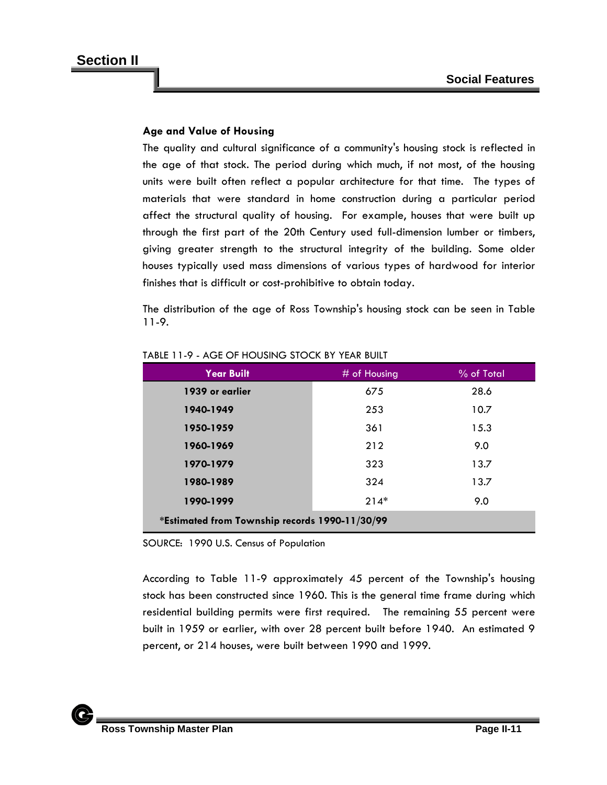## **Age and Value of Housing**

The quality and cultural significance of a community's housing stock is reflected in the age of that stock. The period during which much, if not most, of the housing units were built often reflect a popular architecture for that time. The types of materials that were standard in home construction during a particular period affect the structural quality of housing. For example, houses that were built up through the first part of the 20th Century used full-dimension lumber or timbers, giving greater strength to the structural integrity of the building. Some older houses typically used mass dimensions of various types of hardwood for interior finishes that is difficult or cost-prohibitive to obtain today.

The distribution of the age of Ross Township's housing stock can be seen in Table 11-9.

| <b>Year Built</b>                              | $#$ of Housing | % of Total |  |  |
|------------------------------------------------|----------------|------------|--|--|
| 1939 or earlier                                | 675            | 28.6       |  |  |
| 1940-1949                                      | 253            | 10.7       |  |  |
| 1950-1959                                      | 361            | 15.3       |  |  |
| 1960-1969                                      | 212            | 9.0        |  |  |
| 1970-1979                                      | 323            | 13.7       |  |  |
| 1980-1989                                      | 324            | 13.7       |  |  |
| 1990-1999                                      | $214*$         | 9.0        |  |  |
| *Estimated from Township records 1990-11/30/99 |                |            |  |  |

| TABLE 11-9 - AGE OF HOUSING STOCK BY YEAR BUILT |  |
|-------------------------------------------------|--|
|                                                 |  |

SOURCE: 1990 U.S. Census of Population

According to Table 11-9 approximately 45 percent of the Township's housing stock has been constructed since 1960. This is the general time frame during which residential building permits were first required. The remaining 55 percent were built in 1959 or earlier, with over 28 percent built before 1940. An estimated 9 percent, or 214 houses, were built between 1990 and 1999.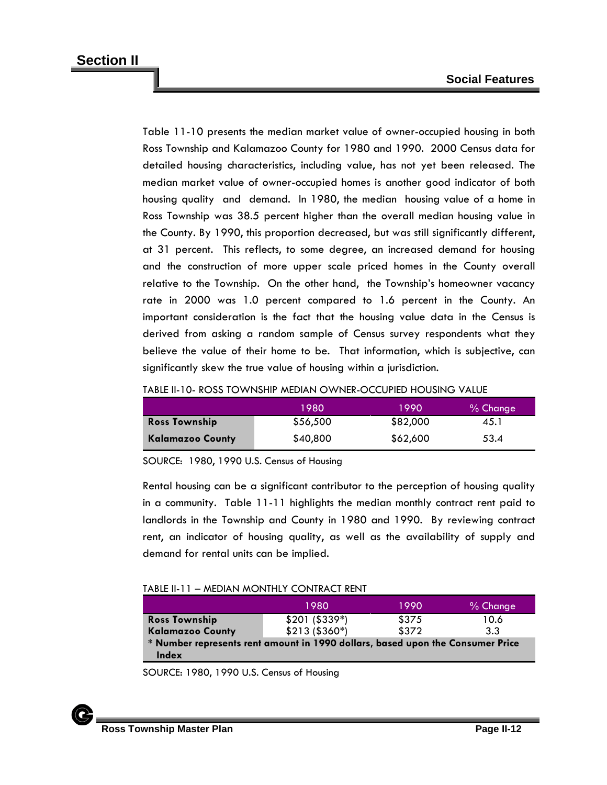Table 11-10 presents the median market value of owner-occupied housing in both Ross Township and Kalamazoo County for 1980 and 1990. 2000 Census data for detailed housing characteristics, including value, has not yet been released. The median market value of owner-occupied homes is another good indicator of both housing quality and demand. In 1980, the median housing value of a home in Ross Township was 38.5 percent higher than the overall median housing value in the County. By 1990, this proportion decreased, but was still significantly different, at 31 percent. This reflects, to some degree, an increased demand for housing and the construction of more upper scale priced homes in the County overall relative to the Township. On the other hand, the Township's homeowner vacancy rate in 2000 was 1.0 percent compared to 1.6 percent in the County. An important consideration is the fact that the housing value data in the Census is derived from asking a random sample of Census survey respondents what they believe the value of their home to be. That information, which is subjective, can significantly skew the true value of housing within a jurisdiction.

|  | TABLE II-10- ROSS TOWNSHIP MEDIAN OWNER-OCCUPIED HOUSING VALUE |
|--|----------------------------------------------------------------|
|  |                                                                |

|                         | 1980     | 1990     | $%$ Change |
|-------------------------|----------|----------|------------|
| <b>Ross Township</b>    | \$56,500 | \$82,000 | 45.1       |
| <b>Kalamazoo County</b> | \$40,800 | \$62,600 | 53.4       |

SOURCE: 1980, 1990 U.S. Census of Housing

Rental housing can be a significant contributor to the perception of housing quality in a community. Table 11-11 highlights the median monthly contract rent paid to landlords in the Township and County in 1980 and 1990. By reviewing contract rent, an indicator of housing quality, as well as the availability of supply and demand for rental units can be implied.

#### TABLE II-11 – MEDIAN MONTHLY CONTRACT RENT

|                                                                                | 1980            | 1990  | % Change |
|--------------------------------------------------------------------------------|-----------------|-------|----------|
| <b>Ross Township</b>                                                           | $$201 ( $339*)$ | \$375 | 10.6     |
| <b>Kalamazoo County</b>                                                        | $$213 ($360*)$  | \$372 | 3.3      |
| * Number represents rent amount in 1990 dollars, based upon the Consumer Price |                 |       |          |
| <b>Index</b>                                                                   |                 |       |          |

SOURCE: 1980, 1990 U.S. Census of Housing

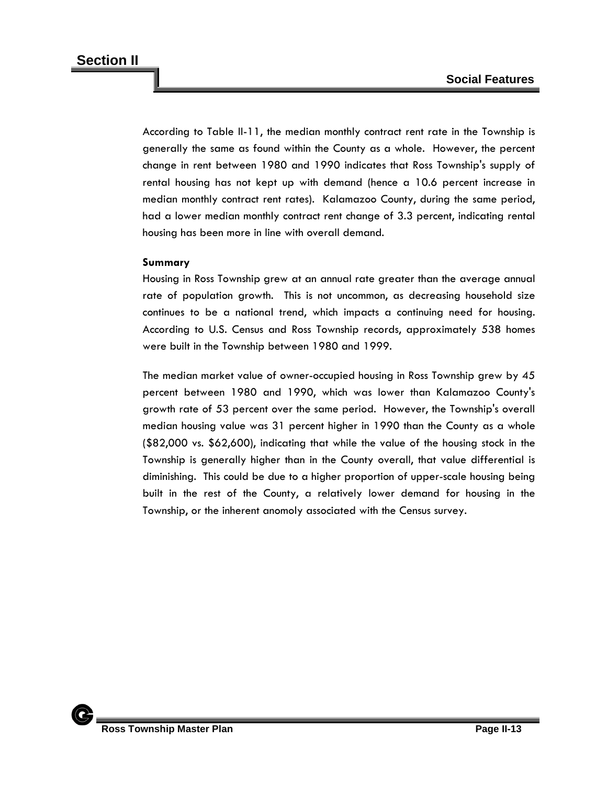According to Table II-11, the median monthly contract rent rate in the Township is generally the same as found within the County as a whole. However, the percent change in rent between 1980 and 1990 indicates that Ross Township's supply of rental housing has not kept up with demand (hence a 10.6 percent increase in median monthly contract rent rates). Kalamazoo County, during the same period, had a lower median monthly contract rent change of 3.3 percent, indicating rental housing has been more in line with overall demand.

#### **Summary**

Housing in Ross Township grew at an annual rate greater than the average annual rate of population growth. This is not uncommon, as decreasing household size continues to be a national trend, which impacts a continuing need for housing. According to U.S. Census and Ross Township records, approximately 538 homes were built in the Township between 1980 and 1999.

The median market value of owner-occupied housing in Ross Township grew by 45 percent between 1980 and 1990, which was lower than Kalamazoo County's growth rate of 53 percent over the same period. However, the Township's overall median housing value was 31 percent higher in 1990 than the County as a whole (\$82,000 vs. \$62,600), indicating that while the value of the housing stock in the Township is generally higher than in the County overall, that value differential is diminishing. This could be due to a higher proportion of upper-scale housing being built in the rest of the County, a relatively lower demand for housing in the Township, or the inherent anomoly associated with the Census survey.

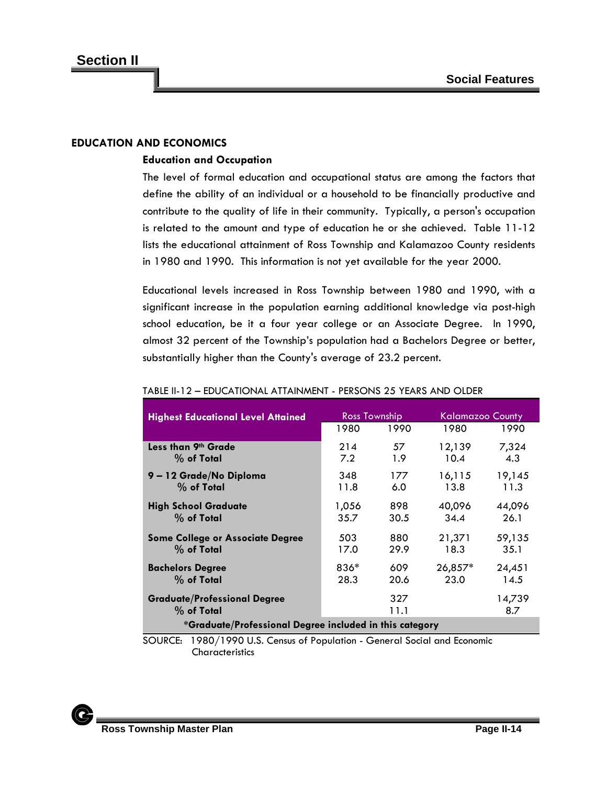### **EDUCATION AND ECONOMICS**

#### **Education and Occupation**

The level of formal education and occupational status are among the factors that define the ability of an individual or a household to be financially productive and contribute to the quality of life in their community. Typically, a person's occupation is related to the amount and type of education he or she achieved. Table 11-12 lists the educational attainment of Ross Township and Kalamazoo County residents in 1980 and 1990. This information is not yet available for the year 2000.

Educational levels increased in Ross Township between 1980 and 1990, with a significant increase in the population earning additional knowledge via post-high school education, be it a four year college or an Associate Degree. In 1990, almost 32 percent of the Township's population had a Bachelors Degree or better, substantially higher than the County's average of 23.2 percent.

| <b>Highest Educational Level Attained</b>               | <b>Ross Township</b> |             |           | Kalamazoo County |  |
|---------------------------------------------------------|----------------------|-------------|-----------|------------------|--|
|                                                         | 1980                 | 1990        | 1980      | 1990             |  |
| Less than 9th Grade                                     | 214                  | 57          | 12,139    | 7,324            |  |
| $%$ of Total                                            | 7.2                  | 1.9         | 10.4      | 4.3              |  |
| 9-12 Grade/No Diploma                                   | 348                  | 177         | 16,115    | 19,145           |  |
| $%$ of Total                                            | 11.8                 | 6.0         | 13.8      | 11.3             |  |
| <b>High School Graduate</b>                             | 1,056                | 898         | 40,096    | 44,096           |  |
| $%$ of Total                                            | 35.7                 | 30.5        | 34.4      | 26.1             |  |
| <b>Some College or Associate Degree</b>                 | 503                  | 880         | 21,371    | 59,135           |  |
| $%$ of Total                                            | 17.0                 | 29.9        | 18.3      | 35.1             |  |
| <b>Bachelors Degree</b>                                 | 836*                 | 609         | $26,857*$ | 24,451           |  |
| $%$ of Total                                            | 28.3                 | 20.6        | 23.0      | 14.5             |  |
| <b>Graduate/Professional Degree</b><br>$%$ of Total     |                      | 327<br>11.1 |           | 14,739<br>8.7    |  |
| *Graduate/Professional Degree included in this category |                      |             |           |                  |  |

#### TABLE II-12 – EDUCATIONAL ATTAINMENT - PERSONS 25 YEARS AND OLDER

SOURCE: 1980/1990 U.S. Census of Population - General Social and Economic **Characteristics** 

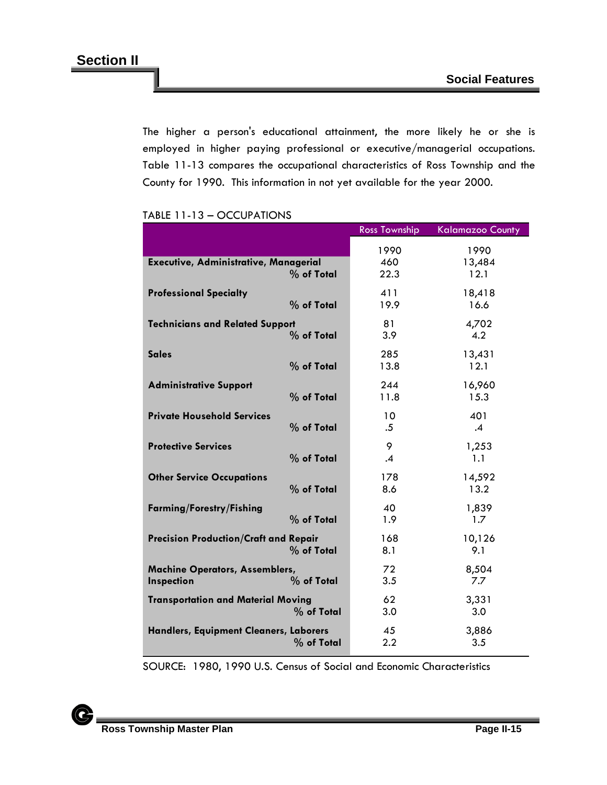The higher a person's educational attainment, the more likely he or she is employed in higher paying professional or executive/managerial occupations. Table 11-13 compares the occupational characteristics of Ross Township and the County for 1990. This information in not yet available for the year 2000.

| TABLE TT-T3 – OCCUPATIONS |  |
|---------------------------|--|
|                           |  |

 $\overline{\phantom{a}}$ 

|                                                     |              | <b>Ross Township</b> | <b>Kalamazoo County</b> |
|-----------------------------------------------------|--------------|----------------------|-------------------------|
| <b>Executive, Administrative, Managerial</b>        | % of Total   | 1990<br>460<br>22.3  | 1990<br>13,484<br>12.1  |
| <b>Professional Specialty</b>                       | % of Total   | 411<br>19.9          | 18,418<br>16.6          |
| <b>Technicians and Related Support</b>              | % of Total   | 81<br>3.9            | 4,702<br>4.2            |
| <b>Sales</b>                                        | % of Total   | 285<br>13.8          | 13,431<br>12.1          |
| <b>Administrative Support</b>                       | % of Total   | 244<br>11.8          | 16,960<br>15.3          |
| <b>Private Household Services</b>                   | $%$ of Total | 10<br>.5             | 401<br>$\cdot$ 4        |
| <b>Protective Services</b>                          | % of Total   | 9<br>$\cdot$         | 1,253<br>1.1            |
| <b>Other Service Occupations</b>                    | % of Total   | 178<br>8.6           | 14,592<br>13.2          |
| <b>Farming/Forestry/Fishing</b>                     | % of Total   | 40<br>1.9            | 1,839<br>1.7            |
| <b>Precision Production/Craft and Repair</b>        | % of Total   | 168<br>8.1           | 10,126<br>9.1           |
| <b>Machine Operators, Assemblers,</b><br>Inspection | % of Total   | 72<br>3.5            | 8,504<br>7.7            |
| <b>Transportation and Material Moving</b>           | % of Total   | 62<br>3.0            | 3,331<br>3.0            |
| Handlers, Equipment Cleaners, Laborers              | % of Total   | 45<br>2.2            | 3,886<br>3.5            |

SOURCE: 1980, 1990 U.S. Census of Social and Economic Characteristics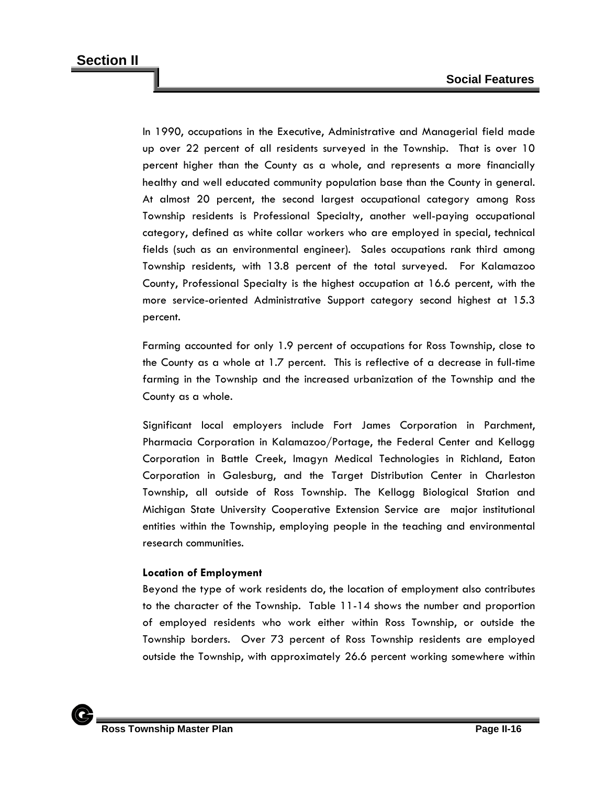In 1990, occupations in the Executive, Administrative and Managerial field made up over 22 percent of all residents surveyed in the Township. That is over 10 percent higher than the County as a whole, and represents a more financially healthy and well educated community population base than the County in general. At almost 20 percent, the second largest occupational category among Ross Township residents is Professional Specialty, another well-paying occupational category, defined as white collar workers who are employed in special, technical fields (such as an environmental engineer). Sales occupations rank third among Township residents, with 13.8 percent of the total surveyed. For Kalamazoo County, Professional Specialty is the highest occupation at 16.6 percent, with the more service-oriented Administrative Support category second highest at 15.3 percent.

Farming accounted for only 1.9 percent of occupations for Ross Township, close to the County as a whole at 1.7 percent. This is reflective of a decrease in full-time farming in the Township and the increased urbanization of the Township and the County as a whole.

Significant local employers include Fort James Corporation in Parchment, Pharmacia Corporation in Kalamazoo/Portage, the Federal Center and Kellogg Corporation in Battle Creek, Imagyn Medical Technologies in Richland, Eaton Corporation in Galesburg, and the Target Distribution Center in Charleston Township, all outside of Ross Township. The Kellogg Biological Station and Michigan State University Cooperative Extension Service are major institutional entities within the Township, employing people in the teaching and environmental research communities.

## **Location of Employment**

Beyond the type of work residents do, the location of employment also contributes to the character of the Township. Table 11-14 shows the number and proportion of employed residents who work either within Ross Township, or outside the Township borders. Over 73 percent of Ross Township residents are employed outside the Township, with approximately 26.6 percent working somewhere within

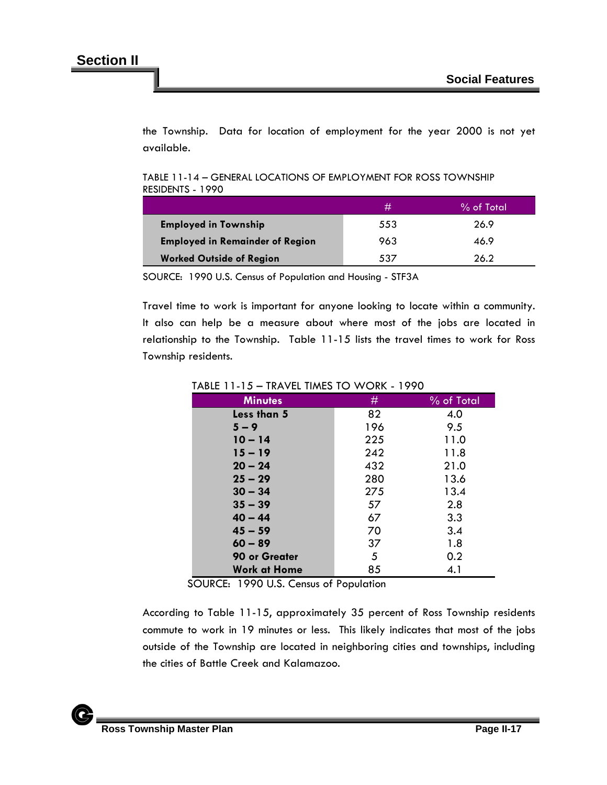the Township. Data for location of employment for the year 2000 is not yet available.

TABLE 11-14 – GENERAL LOCATIONS OF EMPLOYMENT FOR ROSS TOWNSHIP RESIDENTS - 1990

|                                        | #   | % of Total |
|----------------------------------------|-----|------------|
| <b>Employed in Township</b>            | 553 | 26.9       |
| <b>Employed in Remainder of Region</b> | 963 | 46.9       |
| <b>Worked Outside of Region</b>        | 537 | 26.2       |

SOURCE: 1990 U.S. Census of Population and Housing - STF3A

Travel time to work is important for anyone looking to locate within a community. It also can help be a measure about where most of the jobs are located in relationship to the Township. Table 11-15 lists the travel times to work for Ross Township residents.

| <b>Minutes</b>      | #   | % of Total |
|---------------------|-----|------------|
| Less than 5         | 82  | 4.0        |
| $5 - 9$             | 196 | 9.5        |
| $10 - 14$           | 225 | 11.0       |
| $15 - 19$           | 242 | 11.8       |
| $20 - 24$           | 432 | 21.0       |
| $25 - 29$           | 280 | 13.6       |
| $30 - 34$           | 275 | 13.4       |
| $35 - 39$           | 57  | 2.8        |
| $40 - 44$           | 67  | 3.3        |
| $45 - 59$           | 70  | 3.4        |
| $60 - 89$           | 37  | 1.8        |
| 90 or Greater       | 5   | 0.2        |
| <b>Work at Home</b> | 85  | 4.1        |

TABLE 11-15 – TRAVEL TIMES TO WORK - 1990

SOURCE: 1990 U.S. Census of Population

According to Table 11-15, approximately 35 percent of Ross Township residents commute to work in 19 minutes or less. This likely indicates that most of the jobs outside of the Township are located in neighboring cities and townships, including the cities of Battle Creek and Kalamazoo.

 $\mathbf C$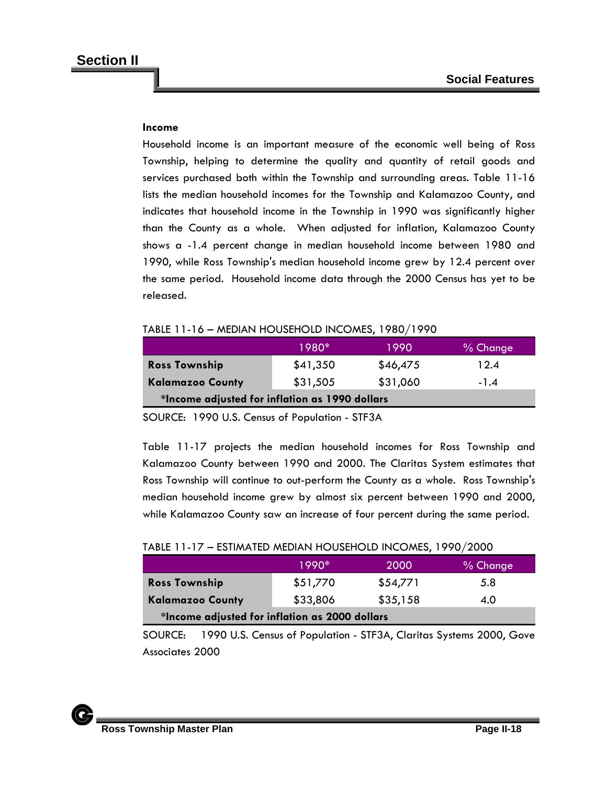## **Income**

Household income is an important measure of the economic well being of Ross Township, helping to determine the quality and quantity of retail goods and services purchased both within the Township and surrounding areas. Table 11-16 lists the median household incomes for the Township and Kalamazoo County, and indicates that household income in the Township in 1990 was significantly higher than the County as a whole. When adjusted for inflation, Kalamazoo County shows a -1.4 percent change in median household income between 1980 and 1990, while Ross Township's median household income grew by 12.4 percent over the same period. Household income data through the 2000 Census has yet to be released.

|                                                    | 1980* | 1990 | % Change |  |
|----------------------------------------------------|-------|------|----------|--|
| TABLE TT-T6 – MEDIAN HOUSEHOLD INCOMES, 1980/1990. |       |      |          |  |

# $T_{\rm{1.11}}$   $T_{\rm{1.16}}$   $T_{\rm{1.6}}$   $T_{\rm{1.16}}$   $T_{\rm{1.16}}$   $T_{\rm{1.16}}$   $T_{\rm{1.16}}$   $T_{\rm{1.16}}$   $T_{\rm{1.16}}$   $T_{\rm{1.16}}$   $T_{\rm{1.16}}$   $T_{\rm{1.16}}$   $T_{\rm{1.16}}$   $T_{\rm{1.16}}$   $T_{\rm{1.16}}$   $T_{\rm{1.16}}$   $T_{\rm{1.16}}$

| <b>Ross Township</b>                           | \$41,350 | \$46,475 | 12.4   |  |
|------------------------------------------------|----------|----------|--------|--|
| <b>Kalamazoo County</b>                        | \$31,505 | \$31,060 | $-1.4$ |  |
| *Income adjusted for inflation as 1990 dollars |          |          |        |  |

SOURCE: 1990 U.S. Census of Population - STF3A

Table 11-17 projects the median household incomes for Ross Township and Kalamazoo County between 1990 and 2000. The Claritas System estimates that Ross Township will continue to out-perform the County as a whole. Ross Township's median household income grew by almost six percent between 1990 and 2000, while Kalamazoo County saw an increase of four percent during the same period.

| TABLE 11-17 - ESTIMATED MEDIAN HOUSEHOLD INCOMES, 1990/2000 |  |  |  |
|-------------------------------------------------------------|--|--|--|
|-------------------------------------------------------------|--|--|--|

|                                                | 1990*    | 2000     | % Change |  |
|------------------------------------------------|----------|----------|----------|--|
| <b>Ross Township</b>                           | \$51,770 | \$54,771 | 5.8      |  |
| <b>Kalamazoo County</b>                        | \$33,806 | \$35,158 | 4.0      |  |
| *Income adjusted for inflation as 2000 dollars |          |          |          |  |

SOURCE: 1990 U.S. Census of Population - STF3A, Claritas Systems 2000, Gove Associates 2000